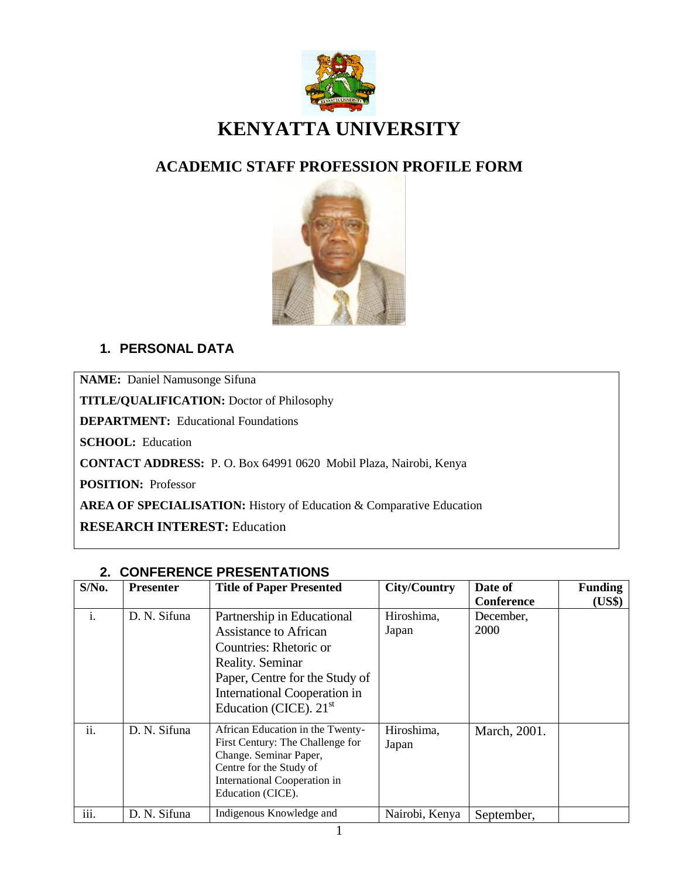

# **ACADEMIC STAFF PROFESSION PROFILE FORM**



## **1. PERSONAL DATA**

**NAME:** Daniel Namusonge Sifuna

**TITLE/QUALIFICATION:** Doctor of Philosophy

**DEPARTMENT:** Educational Foundations

**SCHOOL:** Education

**CONTACT ADDRESS:** P. O. Box 64991 0620 Mobil Plaza, Nairobi, Kenya

**POSITION:** Professor

**AREA OF SPECIALISATION:** History of Education & Comparative Education

**RESEARCH INTEREST:** Education

|                | <u>UUN ERENUE FREUERTATIUNU</u> |                                                                                                                                                                                                        |                     |                   |                |  |
|----------------|---------------------------------|--------------------------------------------------------------------------------------------------------------------------------------------------------------------------------------------------------|---------------------|-------------------|----------------|--|
| $S/N0$ .       | <b>Presenter</b>                | <b>Title of Paper Presented</b>                                                                                                                                                                        | City/Country        | Date of           | <b>Funding</b> |  |
|                |                                 |                                                                                                                                                                                                        |                     | Conference        | (US\$)         |  |
| $\mathbf{i}$ . | D. N. Sifuna                    | Partnership in Educational<br><b>Assistance to African</b><br>Countries: Rhetoric or<br>Reality. Seminar<br>Paper, Centre for the Study of<br>International Cooperation in<br>Education (CICE). $21st$ | Hiroshima,<br>Japan | December,<br>2000 |                |  |
| ii.            | D. N. Sifuna                    | African Education in the Twenty-<br>First Century: The Challenge for<br>Change. Seminar Paper,<br>Centre for the Study of<br>International Cooperation in<br>Education (CICE).                         | Hiroshima,<br>Japan | March, 2001.      |                |  |
| iii.           | D. N. Sifuna                    | Indigenous Knowledge and                                                                                                                                                                               | Nairobi, Kenya      | September,        |                |  |

#### **2. CONFERENCE PRESENTATIONS**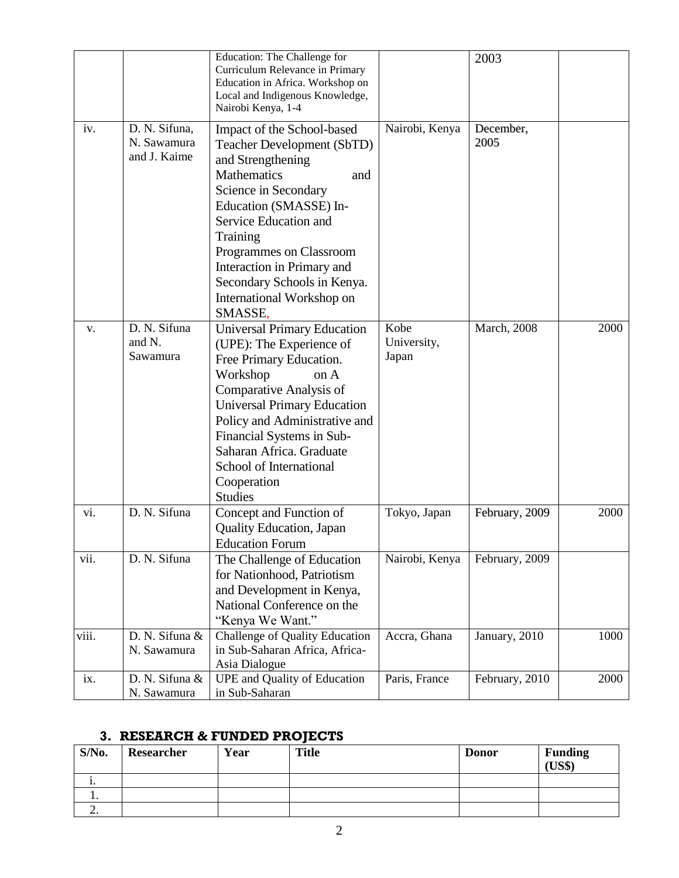|       |                                              | Education: The Challenge for<br>Curriculum Relevance in Primary<br>Education in Africa. Workshop on<br>Local and Indigenous Knowledge,<br>Nairobi Kenya, 1-4                                                                                                                                                                             |                              | 2003                |      |
|-------|----------------------------------------------|------------------------------------------------------------------------------------------------------------------------------------------------------------------------------------------------------------------------------------------------------------------------------------------------------------------------------------------|------------------------------|---------------------|------|
| iv.   | D. N. Sifuna,<br>N. Sawamura<br>and J. Kaime | Impact of the School-based<br>Teacher Development (SbTD)<br>and Strengthening<br><b>Mathematics</b><br>and<br>Science in Secondary<br>Education (SMASSE) In-<br>Service Education and<br><b>Training</b><br>Programmes on Classroom<br>Interaction in Primary and<br>Secondary Schools in Kenya.<br>International Workshop on<br>SMASSE. | Nairobi, Kenya               | December,<br>2005   |      |
| V.    | D. N. Sifuna<br>and N.<br>Sawamura           | <b>Universal Primary Education</b><br>(UPE): The Experience of<br>Free Primary Education.<br>Workshop<br>on A<br>Comparative Analysis of<br><b>Universal Primary Education</b><br>Policy and Administrative and<br>Financial Systems in Sub-<br>Saharan Africa. Graduate<br>School of International<br>Cooperation<br><b>Studies</b>     | Kobe<br>University,<br>Japan | <b>March</b> , 2008 | 2000 |
| vi.   | D. N. Sifuna                                 | Concept and Function of<br><b>Quality Education</b> , Japan<br><b>Education Forum</b>                                                                                                                                                                                                                                                    | Tokyo, Japan                 | February, 2009      | 2000 |
| vii.  | D. N. Sifuna                                 | The Challenge of Education<br>for Nationhood, Patriotism<br>and Development in Kenya,<br>National Conference on the<br>"Kenya We Want."                                                                                                                                                                                                  | Nairobi, Kenya               | February, 2009      |      |
| viii. | D. N. Sifuna &<br>N. Sawamura                | Challenge of Quality Education<br>in Sub-Saharan Africa, Africa-<br>Asia Dialogue                                                                                                                                                                                                                                                        | Accra, Ghana                 | January, 2010       | 1000 |
| ix.   | D. N. Sifuna &<br>N. Sawamura                | UPE and Quality of Education<br>in Sub-Saharan                                                                                                                                                                                                                                                                                           | Paris, France                | February, 2010      | 2000 |

# **3. RESEARCH & FUNDED PROJECTS**

| $S/N0$ .  | Researcher | Year | <b>Title</b> | <b>Donor</b> | <b>Funding</b><br>(US\$) |
|-----------|------------|------|--------------|--------------|--------------------------|
| . .       |            |      |              |              |                          |
| . .       |            |      |              |              |                          |
| <u>L.</u> |            |      |              |              |                          |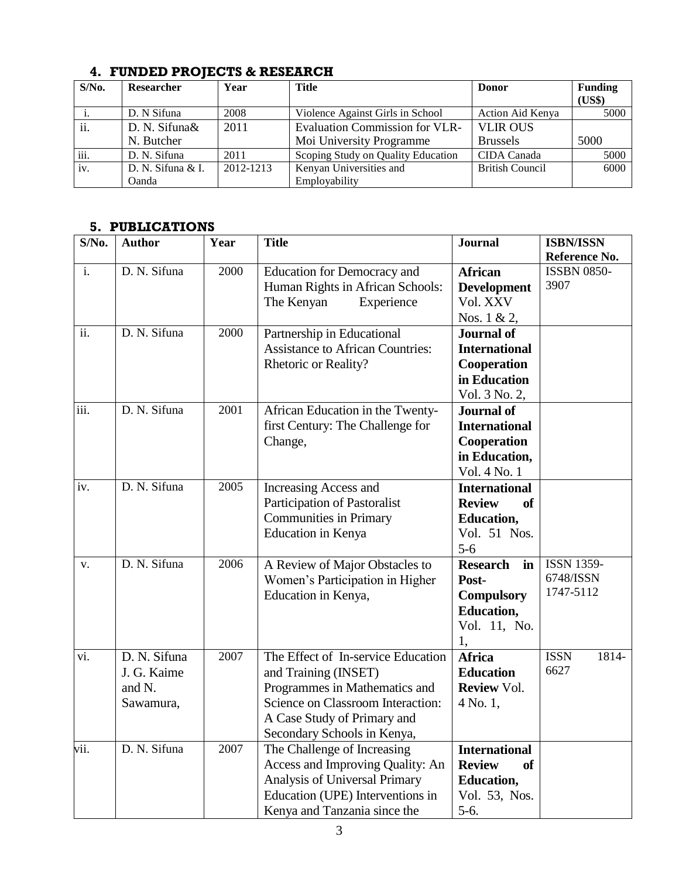| $S/N0$ . | <b>Researcher</b> | Year      | <b>Title</b>                          | <b>Donor</b>           | <b>Funding</b> |
|----------|-------------------|-----------|---------------------------------------|------------------------|----------------|
|          |                   |           |                                       |                        | (US\$)         |
|          | D. N Sifuna       | 2008      | Violence Against Girls in School      | Action Aid Kenya       | 5000           |
| ii.      | D. N. Sifuna&     | 2011      | <b>Evaluation Commission for VLR-</b> | <b>VLIR OUS</b>        |                |
|          | N. Butcher        |           | Moi University Programme              | <b>Brussels</b>        | 5000           |
| iii.     | D. N. Sifuna      | 2011      | Scoping Study on Quality Education    | CIDA Canada            | 5000           |
| iv.      | D. N. Sifuna & I. | 2012-1213 | Kenyan Universities and               | <b>British Council</b> | 6000           |
|          | Oanda             |           | Employability                         |                        |                |

#### **4. FUNDED PROJECTS & RESEARCH**

#### **5. PUBLICATIONS**

| S/No.             | <b>Author</b> | Year | <b>Title</b>                            | <b>Journal</b>             | <b>ISBN/ISSN</b>     |
|-------------------|---------------|------|-----------------------------------------|----------------------------|----------------------|
|                   |               |      |                                         |                            | Reference No.        |
| i.                | D. N. Sifuna  | 2000 | <b>Education for Democracy and</b>      | <b>African</b>             | <b>ISSBN 0850-</b>   |
|                   |               |      | Human Rights in African Schools:        | <b>Development</b>         | 3907                 |
|                   |               |      | The Kenyan<br>Experience                | Vol. XXV                   |                      |
|                   |               |      |                                         | Nos. 1 & 2,                |                      |
| $\overline{ii}$ . | D. N. Sifuna  | 2000 | Partnership in Educational              | <b>Journal of</b>          |                      |
|                   |               |      | <b>Assistance to African Countries:</b> | <b>International</b>       |                      |
|                   |               |      | Rhetoric or Reality?                    | Cooperation                |                      |
|                   |               |      |                                         | in Education               |                      |
|                   |               |      |                                         | Vol. 3 No. 2,              |                      |
| iii.              | D. N. Sifuna  | 2001 | African Education in the Twenty-        | <b>Journal of</b>          |                      |
|                   |               |      | first Century: The Challenge for        | <b>International</b>       |                      |
|                   |               |      | Change,                                 | Cooperation                |                      |
|                   |               |      |                                         | in Education,              |                      |
|                   |               |      |                                         | Vol. 4 No. 1               |                      |
| iv.               | D. N. Sifuna  | 2005 | Increasing Access and                   | <b>International</b>       |                      |
|                   |               |      | <b>Participation of Pastoralist</b>     | <b>Review</b><br><b>of</b> |                      |
|                   |               |      | <b>Communities in Primary</b>           | <b>Education,</b>          |                      |
|                   |               |      | Education in Kenya                      | Vol. 51 Nos.               |                      |
|                   |               |      |                                         | $5-6$                      |                      |
| V.                | D. N. Sifuna  | 2006 | A Review of Major Obstacles to          | <b>Research</b><br>in      | <b>ISSN 1359-</b>    |
|                   |               |      | Women's Participation in Higher         | Post-                      | 6748/ISSN            |
|                   |               |      | Education in Kenya,                     | <b>Compulsory</b>          | 1747-5112            |
|                   |               |      |                                         | <b>Education,</b>          |                      |
|                   |               |      |                                         | Vol. 11, No.               |                      |
|                   |               |      |                                         | 1,                         |                      |
| vi.               | D. N. Sifuna  | 2007 | The Effect of In-service Education      | <b>Africa</b>              | <b>ISSN</b><br>1814- |
|                   | J. G. Kaime   |      | and Training (INSET)                    | <b>Education</b>           | 6627                 |
|                   | and N.        |      | Programmes in Mathematics and           | <b>Review Vol.</b>         |                      |
|                   | Sawamura,     |      | Science on Classroom Interaction:       | 4 No. 1,                   |                      |
|                   |               |      | A Case Study of Primary and             |                            |                      |
|                   |               |      | Secondary Schools in Kenya,             |                            |                      |
| vii.              | D. N. Sifuna  | 2007 | The Challenge of Increasing             | <b>International</b>       |                      |
|                   |               |      | Access and Improving Quality: An        | <b>Review</b><br><b>of</b> |                      |
|                   |               |      | Analysis of Universal Primary           | <b>Education,</b>          |                      |
|                   |               |      | Education (UPE) Interventions in        | Vol. 53, Nos.              |                      |
|                   |               |      | Kenya and Tanzania since the            | $5-6.$                     |                      |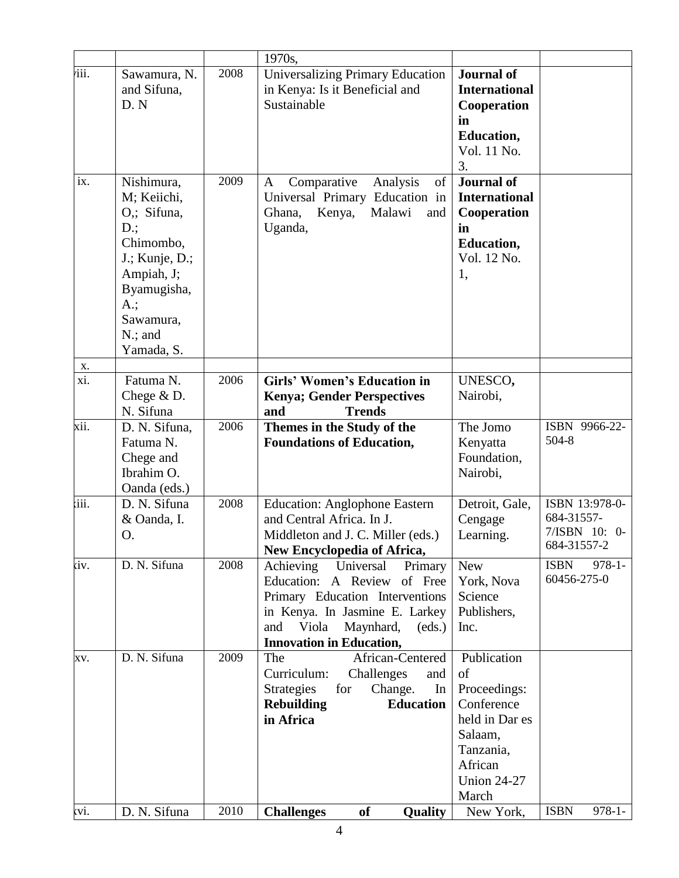|                   |                                                                                                                                                                   |      | 1970s,                                                                                                                                                                                                             |                                                                                                                                     |                                                              |
|-------------------|-------------------------------------------------------------------------------------------------------------------------------------------------------------------|------|--------------------------------------------------------------------------------------------------------------------------------------------------------------------------------------------------------------------|-------------------------------------------------------------------------------------------------------------------------------------|--------------------------------------------------------------|
| iii.              | Sawamura, N.<br>and Sifuna,<br>D.N                                                                                                                                | 2008 | <b>Universalizing Primary Education</b><br>in Kenya: Is it Beneficial and<br>Sustainable                                                                                                                           | <b>Journal of</b><br><b>International</b><br>Cooperation<br>in                                                                      |                                                              |
|                   |                                                                                                                                                                   |      |                                                                                                                                                                                                                    | <b>Education,</b><br>Vol. 11 No.<br>3.                                                                                              |                                                              |
| $\overline{i}x$ . | Nishimura,<br>M; Keiichi,<br>O.; Sifuna,<br>$D$ .;<br>Chimombo,<br>J.; Kunje, D.;<br>Ampiah, J;<br>Byamugisha,<br>$A$ .;<br>Sawamura,<br>$N$ .; and<br>Yamada, S. | 2009 | Comparative<br>Analysis<br>of<br>A<br>Universal Primary Education in<br>Kenya,<br>Malawi<br>Ghana,<br>and<br>Uganda,                                                                                               | <b>Journal of</b><br><b>International</b><br>Cooperation<br>in<br><b>Education,</b><br>Vol. 12 No.<br>1,                            |                                                              |
| <b>X</b> .        |                                                                                                                                                                   |      |                                                                                                                                                                                                                    |                                                                                                                                     |                                                              |
| xi.               | Fatuma N.<br>Chege $&D.$<br>N. Sifuna                                                                                                                             | 2006 | <b>Girls' Women's Education in</b><br><b>Kenya; Gender Perspectives</b><br><b>Trends</b><br>and                                                                                                                    | UNESCO,<br>Nairobi,                                                                                                                 |                                                              |
| xii.              | D. N. Sifuna,<br>Fatuma N.<br>Chege and<br>Ibrahim O.<br>Oanda (eds.)                                                                                             | 2006 | Themes in the Study of the<br><b>Foundations of Education,</b>                                                                                                                                                     | The Jomo<br>Kenyatta<br>Foundation,<br>Nairobi,                                                                                     | ISBN 9966-22-<br>504-8                                       |
| iii.              | D. N. Sifuna<br>& Oanda, I.<br>O.                                                                                                                                 | 2008 | <b>Education: Anglophone Eastern</b><br>and Central Africa. In J.<br>Middleton and J. C. Miller (eds.)<br>New Encyclopedia of Africa,                                                                              | Detroit, Gale,<br>Cengage<br>Learning.                                                                                              | ISBN 13:978-0-<br>684-31557-<br>7/ISBN 10: 0-<br>684-31557-2 |
| ίv.               | D. N. Sifuna                                                                                                                                                      | 2008 | Achieving<br>Universal<br>Primary<br>Education: A Review<br>of Free<br>Primary Education Interventions<br>in Kenya. In Jasmine E. Larkey<br>Viola<br>Maynhard,<br>and<br>(eds.)<br><b>Innovation in Education,</b> | <b>New</b><br>York, Nova<br>Science<br>Publishers,<br>Inc.                                                                          | <b>ISBN</b><br>$978-1-$<br>60456-275-0                       |
| XV.               | D. N. Sifuna                                                                                                                                                      | 2009 | African-Centered<br>The<br>Curriculum:<br>Challenges<br>and<br>Change.<br><b>Strategies</b><br>for<br>In<br><b>Education</b><br><b>Rebuilding</b><br>in Africa                                                     | Publication<br>of<br>Proceedings:<br>Conference<br>held in Dar es<br>Salaam,<br>Tanzania,<br>African<br><b>Union 24-27</b><br>March |                                                              |
| ιvi.              | D. N. Sifuna                                                                                                                                                      | 2010 | of<br>Quality<br><b>Challenges</b>                                                                                                                                                                                 | New York,                                                                                                                           | <b>ISBN</b><br>$978-1-$                                      |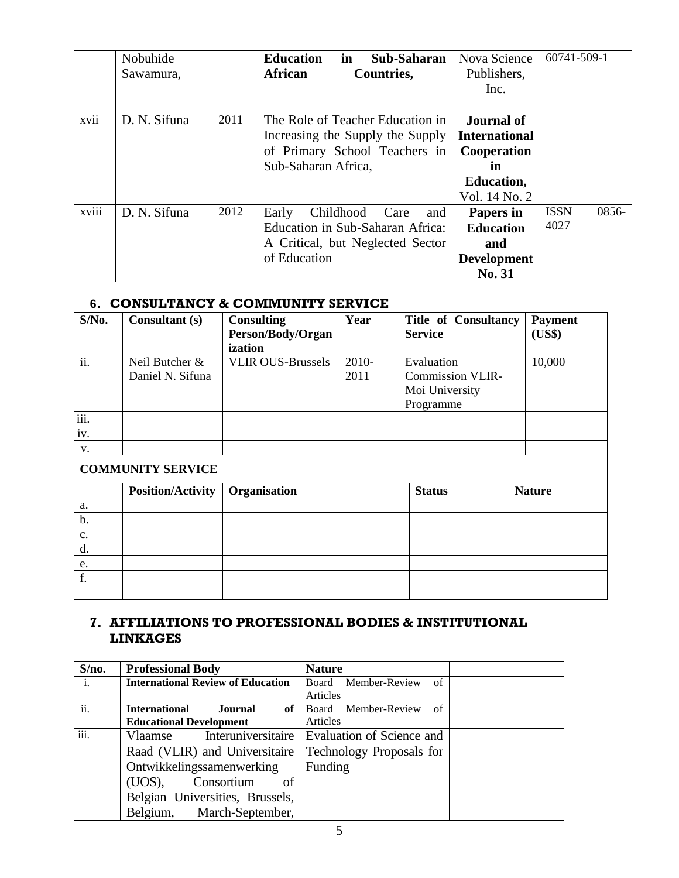|       | Nobuhide     |      | <b>Education</b>                 | in        | Sub-Saharan |     | Nova Science         | 60741-509-1 |       |
|-------|--------------|------|----------------------------------|-----------|-------------|-----|----------------------|-------------|-------|
|       | Sawamura,    |      | <b>African</b>                   |           | Countries,  |     | Publishers,          |             |       |
|       |              |      |                                  |           |             |     | Inc.                 |             |       |
|       |              |      |                                  |           |             |     |                      |             |       |
| xvii  | D. N. Sifuna | 2011 | The Role of Teacher Education in |           |             |     | <b>Journal of</b>    |             |       |
|       |              |      | Increasing the Supply the Supply |           |             |     | <b>International</b> |             |       |
|       |              |      | of Primary School Teachers in    |           |             |     | Cooperation          |             |       |
|       |              |      | Sub-Saharan Africa,              |           |             |     | in                   |             |       |
|       |              |      |                                  |           |             |     | <b>Education,</b>    |             |       |
|       |              |      |                                  |           |             |     | Vol. 14 No. 2        |             |       |
| xviii | D. N. Sifuna | 2012 | Early                            | Childhood | Care        | and | Papers in            | <b>ISSN</b> | 0856- |
|       |              |      | Education in Sub-Saharan Africa: |           |             |     | <b>Education</b>     | 4027        |       |
|       |              |      | A Critical, but Neglected Sector |           |             |     | and                  |             |       |
|       |              |      | of Education                     |           |             |     | <b>Development</b>   |             |       |
|       |              |      |                                  |           |             |     | No. 31               |             |       |

### **6. CONSULTANCY & COMMUNITY SERVICE**

| $S/N0$ . | Consultant (s)           | <b>Consulting</b><br>Person/Body/Organ | Year  | <b>Title of Consultancy</b><br><b>Service</b> | <b>Payment</b><br>(US\$) |
|----------|--------------------------|----------------------------------------|-------|-----------------------------------------------|--------------------------|
| ii.      | Neil Butcher &           | ization<br><b>VLIR OUS-Brussels</b>    | 2010- | Evaluation                                    | 10,000                   |
|          | Daniel N. Sifuna         |                                        | 2011  | <b>Commission VLIR-</b>                       |                          |
|          |                          |                                        |       | Moi University                                |                          |
|          |                          |                                        |       | Programme                                     |                          |
| iii.     |                          |                                        |       |                                               |                          |
| iv.      |                          |                                        |       |                                               |                          |
| V.       |                          |                                        |       |                                               |                          |
|          | <b>COMMUNITY SERVICE</b> |                                        |       |                                               |                          |
|          | <b>Position/Activity</b> | Organisation                           |       | <b>Status</b>                                 | <b>Nature</b>            |
| a.       |                          |                                        |       |                                               |                          |
| b.       |                          |                                        |       |                                               |                          |
| c.       |                          |                                        |       |                                               |                          |
| d.       |                          |                                        |       |                                               |                          |
| e.       |                          |                                        |       |                                               |                          |
| f.       |                          |                                        |       |                                               |                          |
|          |                          |                                        |       |                                               |                          |

## **7. AFFILIATIONS TO PROFESSIONAL BODIES & INSTITUTIONAL LINKAGES**

| S/no.          | <b>Professional Body</b>                 | <b>Nature</b>                                  |  |
|----------------|------------------------------------------|------------------------------------------------|--|
| $\mathbf{i}$ . | <b>International Review of Education</b> | Member-Review<br>Board<br>- of                 |  |
|                |                                          | Articles                                       |  |
| ii.            | <b>International</b><br>Journal<br>of    | Board Member-Review<br>$\sigma$ f              |  |
|                | <b>Educational Development</b>           | Articles                                       |  |
| iii.           | Vlaamse                                  | Interuniversitaire   Evaluation of Science and |  |
|                | Raad (VLIR) and Universitaire            | Technology Proposals for                       |  |
|                | Ontwikkelingssamenwerking                | Funding                                        |  |
|                | Consortium<br>of<br>(UOS),               |                                                |  |
|                | Belgian Universities, Brussels,          |                                                |  |
|                | Belgium, March-September,                |                                                |  |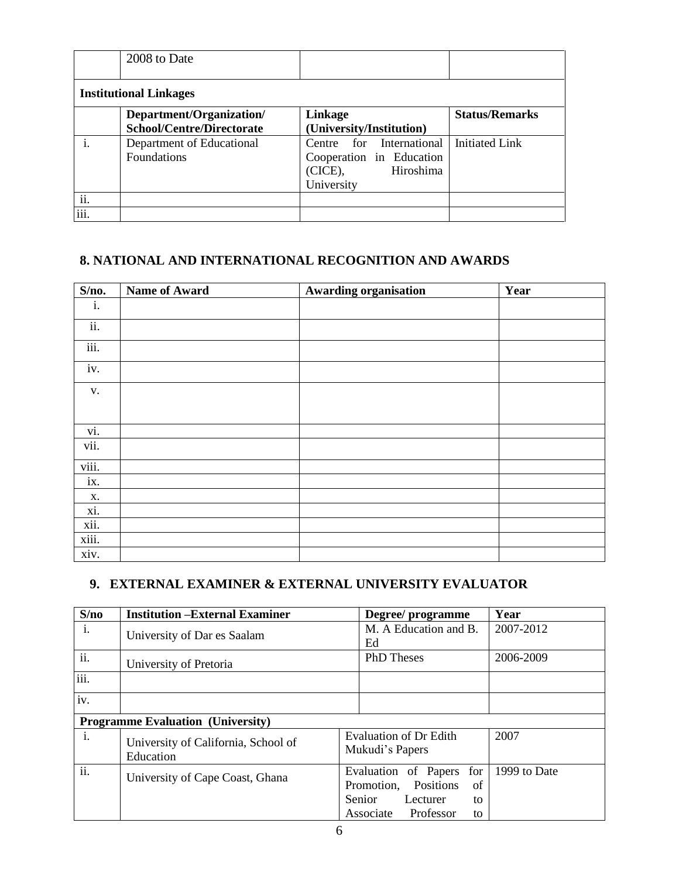|      | 2008 to Date                                                 |                                                                                               |                       |
|------|--------------------------------------------------------------|-----------------------------------------------------------------------------------------------|-----------------------|
|      | <b>Institutional Linkages</b>                                |                                                                                               |                       |
|      | Department/Organization/<br><b>School/Centre/Directorate</b> | Linkage<br>(University/Institution)                                                           | <b>Status/Remarks</b> |
|      | Department of Educational<br>Foundations                     | Centre for International<br>Cooperation in Education<br>Hiroshima<br>$(CICE)$ ,<br>University | <b>Initiated Link</b> |
| ii.  |                                                              |                                                                                               |                       |
| iii. |                                                              |                                                                                               |                       |

## **8. NATIONAL AND INTERNATIONAL RECOGNITION AND AWARDS**

| S/no. | Name of Award | <b>Awarding organisation</b> | Year |
|-------|---------------|------------------------------|------|
| i.    |               |                              |      |
| ii.   |               |                              |      |
| iii.  |               |                              |      |
| iv.   |               |                              |      |
| V.    |               |                              |      |
|       |               |                              |      |
| vi.   |               |                              |      |
| vii.  |               |                              |      |
| viii. |               |                              |      |
| ix.   |               |                              |      |
| Х.    |               |                              |      |
| xi.   |               |                              |      |
| xii.  |               |                              |      |
| xiii. |               |                              |      |
| xiv.  |               |                              |      |

## **9. EXTERNAL EXAMINER & EXTERNAL UNIVERSITY EVALUATOR**

| S/no           | <b>Institution -External Examiner</b>            | Year<br>Degree/programme                                                     |
|----------------|--------------------------------------------------|------------------------------------------------------------------------------|
| i.             | University of Dar es Saalam                      | M. A Education and B.<br>2007-2012<br>Ed                                     |
| ii.            | University of Pretoria                           | <b>PhD</b> Theses<br>2006-2009                                               |
| iii.           |                                                  |                                                                              |
| iv.            |                                                  |                                                                              |
|                | <b>Programme Evaluation (University)</b>         |                                                                              |
| $\mathbf{i}$ . | University of California, School of<br>Education | 2007<br><b>Evaluation of Dr Edith</b><br>Mukudi's Papers                     |
| ii.            | University of Cape Coast, Ghana                  | 1999 to Date<br>Evaluation of Papers<br>for<br>Positions<br>Promotion,<br>of |
|                |                                                  | Senior<br>Lecturer<br>to<br>Professor<br>Associate<br>to                     |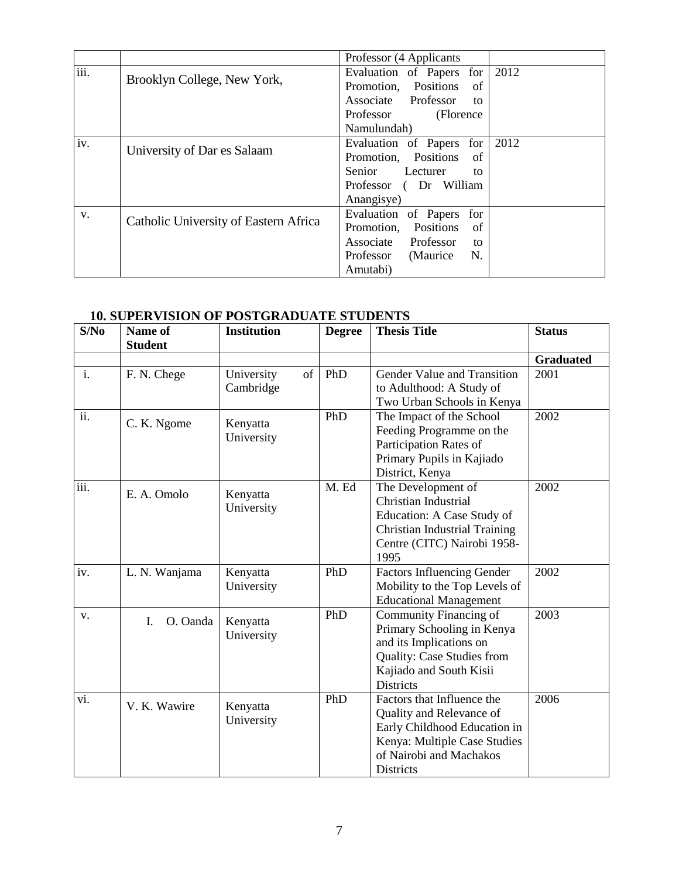|      |                                       | Professor (4 Applicants       |      |
|------|---------------------------------------|-------------------------------|------|
| iii. | Brooklyn College, New York,           | Evaluation of Papers for      | 2012 |
|      |                                       | Promotion, Positions<br>of    |      |
|      |                                       | Associate Professor<br>to     |      |
|      |                                       | Professor<br>(Florence)       |      |
|      |                                       | Namulundah)                   |      |
| iv.  |                                       | Evaluation of Papers<br>for   | 2012 |
|      | University of Dar es Salaam           | Promotion, Positions<br>of    |      |
|      |                                       | Senior<br>Lecturer<br>to      |      |
|      |                                       | Professor (Dr William         |      |
|      |                                       | Anangisye)                    |      |
| V.   |                                       | Evaluation of Papers<br>for   |      |
|      | Catholic University of Eastern Africa | Positions<br>Promotion,<br>of |      |
|      |                                       | Associate Professor<br>to     |      |
|      |                                       | Professor (Maurice<br>N.      |      |
|      |                                       | Amutabi)                      |      |

### **10. SUPERVISION OF POSTGRADUATE STUDENTS**

| S/No           | Name of<br><b>Student</b> | <b>Institution</b>            | <b>Degree</b> | <b>Thesis Title</b>                                                                                                                                                   | <b>Status</b>    |
|----------------|---------------------------|-------------------------------|---------------|-----------------------------------------------------------------------------------------------------------------------------------------------------------------------|------------------|
|                |                           |                               |               |                                                                                                                                                                       | <b>Graduated</b> |
| $\mathbf{i}$ . | F. N. Chege               | of<br>University<br>Cambridge | PhD           | Gender Value and Transition<br>to Adulthood: A Study of<br>Two Urban Schools in Kenya                                                                                 | 2001             |
| ii.            | C. K. Ngome               | Kenyatta<br>University        | PhD           | The Impact of the School<br>Feeding Programme on the<br>Participation Rates of<br>Primary Pupils in Kajiado<br>District, Kenya                                        | 2002             |
| iii.           | E. A. Omolo               | Kenyatta<br>University        | M. Ed         | The Development of<br>Christian Industrial<br>Education: A Case Study of<br><b>Christian Industrial Training</b><br>Centre (CITC) Nairobi 1958-<br>1995               | 2002             |
| iv.            | L. N. Wanjama             | Kenyatta<br>University        | PhD           | <b>Factors Influencing Gender</b><br>Mobility to the Top Levels of<br><b>Educational Management</b>                                                                   | 2002             |
| V.             | O. Oanda<br>L.            | Kenyatta<br>University        | PhD           | Community Financing of<br>Primary Schooling in Kenya<br>and its Implications on<br>Quality: Case Studies from<br>Kajiado and South Kisii<br><b>Districts</b>          | 2003             |
| vi.            | V. K. Wawire              | Kenyatta<br>University        | PhD           | Factors that Influence the<br>Quality and Relevance of<br>Early Childhood Education in<br>Kenya: Multiple Case Studies<br>of Nairobi and Machakos<br><b>Districts</b> | 2006             |